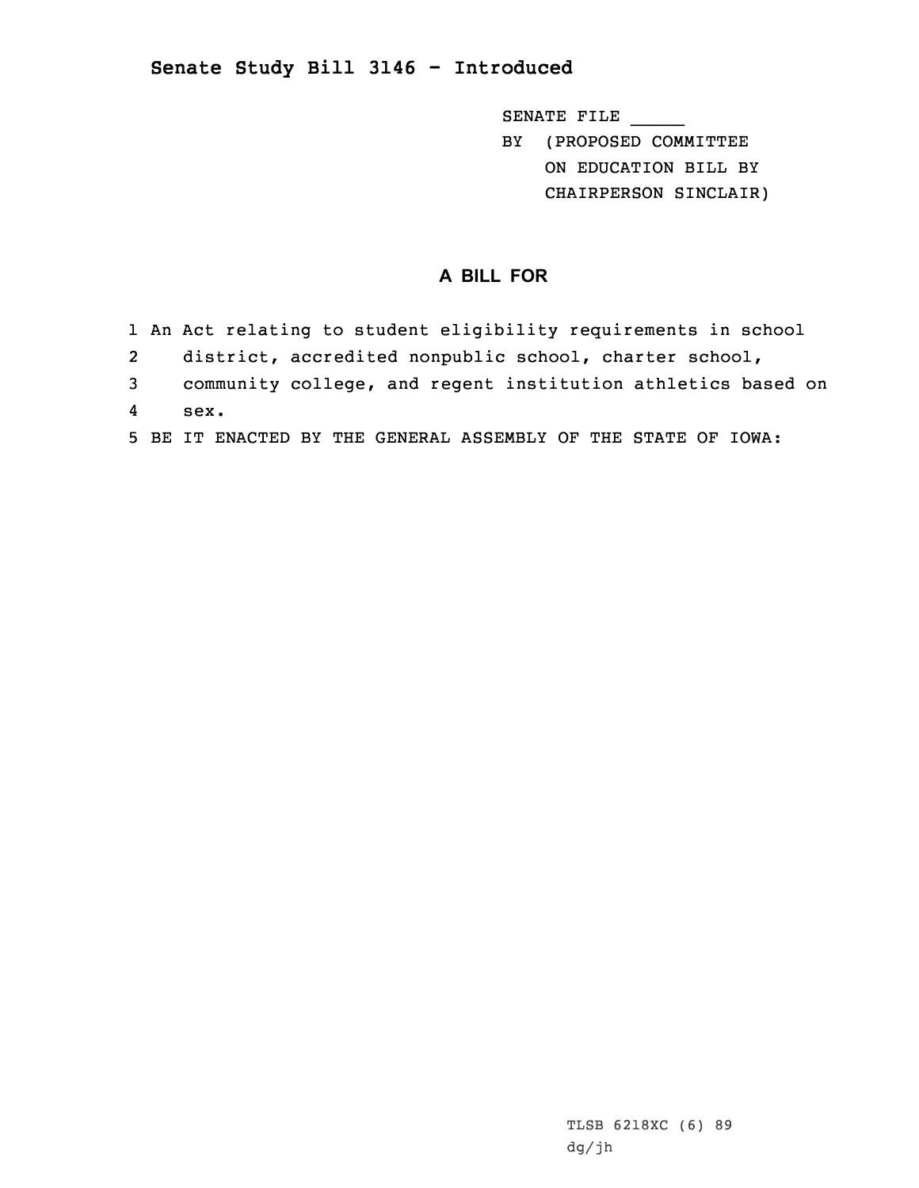## **Senate Study Bill 3146 - Introduced**

SENATE FILE \_\_\_\_\_ BY (PROPOSED COMMITTEE ON EDUCATION BILL BY CHAIRPERSON SINCLAIR)

## **A BILL FOR**

- 1 An Act relating to student eligibility requirements in school
- 2district, accredited nonpublic school, charter school,
- 3 community college, and regent institution athletics based on
- 4sex.
- 5 BE IT ENACTED BY THE GENERAL ASSEMBLY OF THE STATE OF IOWA: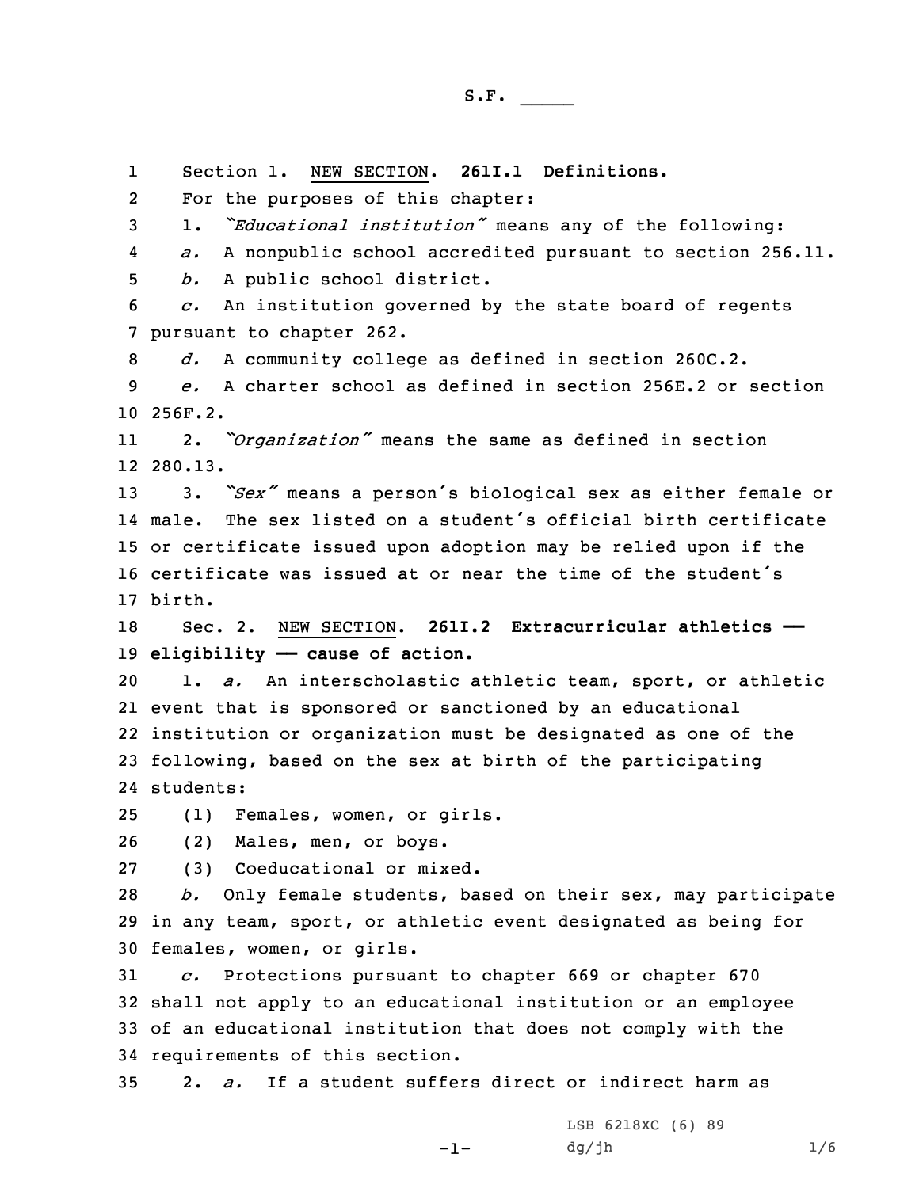1 Section 1. NEW SECTION. **261I.1 Definitions.** 2 For the purposes of this chapter: 1. *"Educational institution"* means any of the following: 4 *a.* <sup>A</sup> nonpublic school accredited pursuant to section 256.11. *b.* <sup>A</sup> public school district. *c.* An institution governed by the state board of regents pursuant to chapter 262. *d.* <sup>A</sup> community college as defined in section 260C.2. *e.* A charter school as defined in section 256E.2 or section 10 256F.2. 11 2. *"Organization"* means the same as defined in section 12 280.13. 3. *"Sex"* means <sup>a</sup> person's biological sex as either female or 14 male. The sex listed on a student's official birth certificate or certificate issued upon adoption may be relied upon if the certificate was issued at or near the time of the student's 17 birth. Sec. 2. NEW SECTION. **261I.2 Extracurricular athletics —— eligibility —— cause of action.** 1. *a.* An interscholastic athletic team, sport, or athletic event that is sponsored or sanctioned by an educational institution or organization must be designated as one of the following, based on the sex at birth of the participating students: (1) Females, women, or girls. (2) Males, men, or boys. (3) Coeducational or mixed. *b.* Only female students, based on their sex, may participate in any team, sport, or athletic event designated as being for females, women, or girls. *c.* Protections pursuant to chapter 669 or chapter 670 shall not apply to an educational institution or an employee of an educational institution that does not comply with the requirements of this section. 2. *a.* If <sup>a</sup> student suffers direct or indirect harm as  $-1-$ LSB 6218XC (6) 89  $dg/jh$  1/6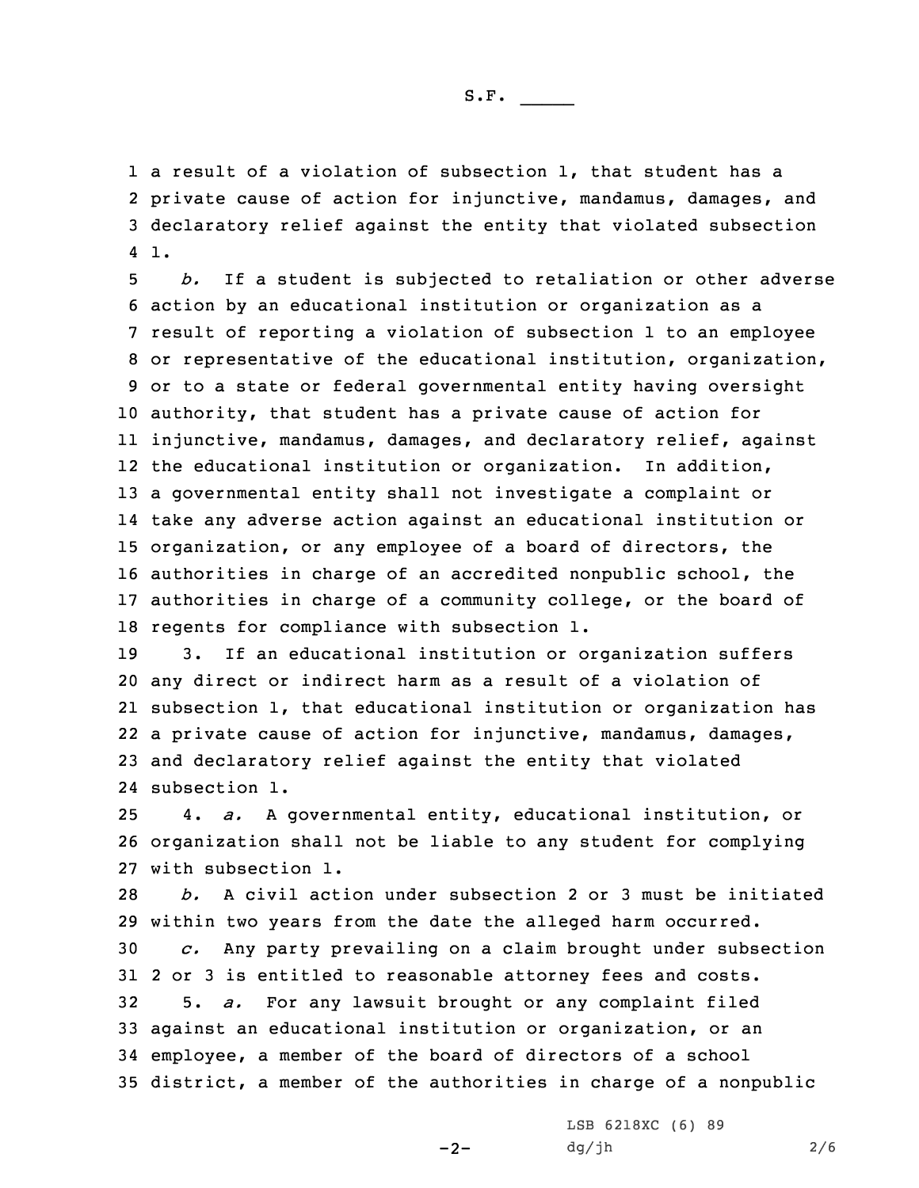<sup>a</sup> result of <sup>a</sup> violation of subsection 1, that student has <sup>a</sup> private cause of action for injunctive, mandamus, damages, and declaratory relief against the entity that violated subsection 4 1.

 *b.* If <sup>a</sup> student is subjected to retaliation or other adverse action by an educational institution or organization as <sup>a</sup> result of reporting <sup>a</sup> violation of subsection 1 to an employee or representative of the educational institution, organization, or to <sup>a</sup> state or federal governmental entity having oversight authority, that student has <sup>a</sup> private cause of action for injunctive, mandamus, damages, and declaratory relief, against the educational institution or organization. In addition, <sup>a</sup> governmental entity shall not investigate <sup>a</sup> complaint or take any adverse action against an educational institution or organization, or any employee of <sup>a</sup> board of directors, the authorities in charge of an accredited nonpublic school, the authorities in charge of <sup>a</sup> community college, or the board of regents for compliance with subsection 1.

 3. If an educational institution or organization suffers any direct or indirect harm as <sup>a</sup> result of <sup>a</sup> violation of subsection 1, that educational institution or organization has <sup>a</sup> private cause of action for injunctive, mandamus, damages, and declaratory relief against the entity that violated subsection 1.

25 4. *a.* <sup>A</sup> governmental entity, educational institution, or 26 organization shall not be liable to any student for complying 27 with subsection 1.

 *b.* A civil action under subsection 2 or 3 must be initiated within two years from the date the alleged harm occurred. *c.* Any party prevailing on <sup>a</sup> claim brought under subsection 2 or 3 is entitled to reasonable attorney fees and costs. 5. *a.* For any lawsuit brought or any complaint filed against an educational institution or organization, or an employee, <sup>a</sup> member of the board of directors of <sup>a</sup> school district, <sup>a</sup> member of the authorities in charge of <sup>a</sup> nonpublic

 $-2-$ 

LSB 6218XC (6) 89 dg/jh 2/6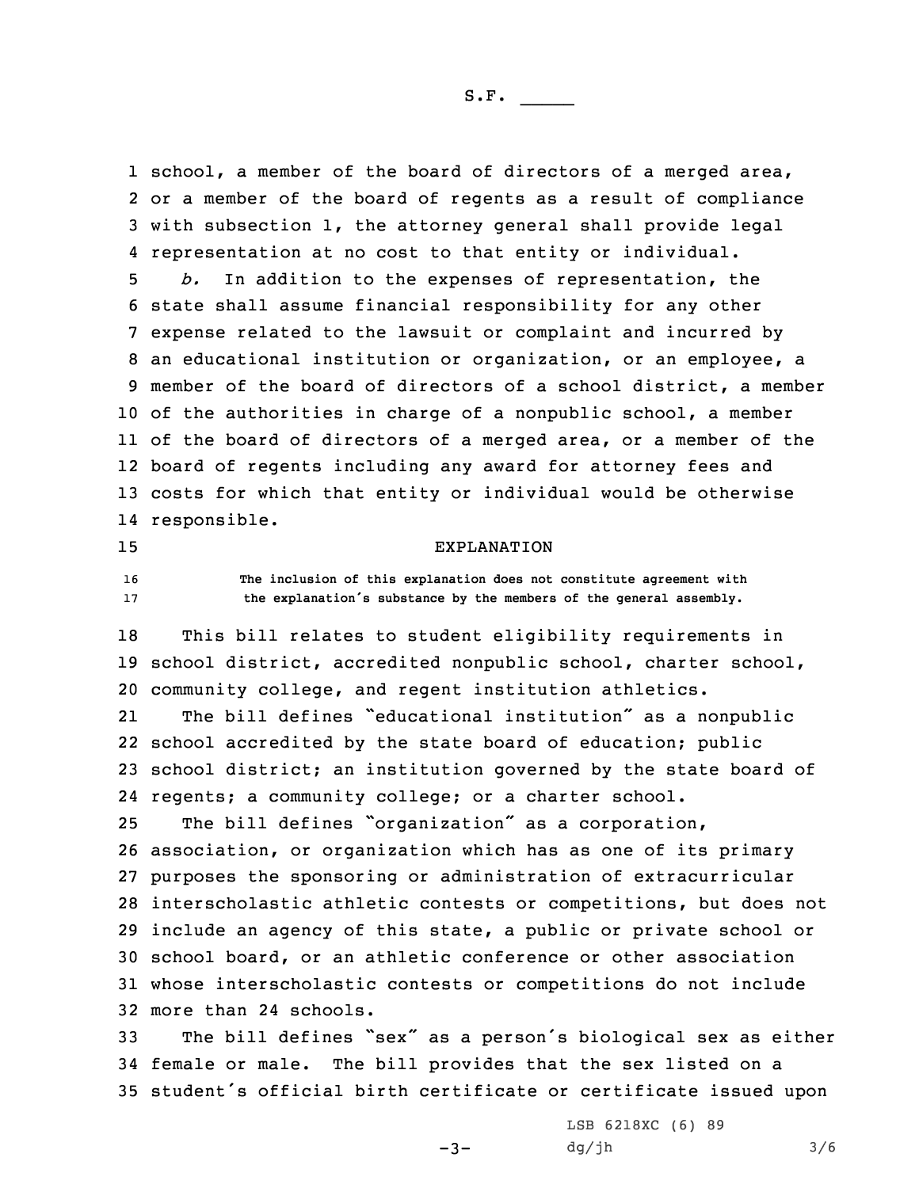1 school, a member of the board of directors of a merged area, or <sup>a</sup> member of the board of regents as <sup>a</sup> result of compliance with subsection 1, the attorney general shall provide legal representation at no cost to that entity or individual.

 *b.* In addition to the expenses of representation, the state shall assume financial responsibility for any other expense related to the lawsuit or complaint and incurred by an educational institution or organization, or an employee, <sup>a</sup> member of the board of directors of <sup>a</sup> school district, <sup>a</sup> member of the authorities in charge of <sup>a</sup> nonpublic school, <sup>a</sup> member of the board of directors of <sup>a</sup> merged area, or <sup>a</sup> member of the board of regents including any award for attorney fees and costs for which that entity or individual would be otherwise responsible.

## 15 EXPLANATION

16 **The inclusion of this explanation does not constitute agreement with** <sup>17</sup> **the explanation's substance by the members of the general assembly.**

 This bill relates to student eligibility requirements in school district, accredited nonpublic school, charter school, community college, and regent institution athletics. 21 The bill defines "educational institution" as <sup>a</sup> nonpublic school accredited by the state board of education; public school district; an institution governed by the state board of regents; <sup>a</sup> community college; or <sup>a</sup> charter school.

 The bill defines "organization" as <sup>a</sup> corporation, association, or organization which has as one of its primary purposes the sponsoring or administration of extracurricular interscholastic athletic contests or competitions, but does not include an agency of this state, <sup>a</sup> public or private school or school board, or an athletic conference or other association whose interscholastic contests or competitions do not include more than 24 schools.

<sup>33</sup> The bill defines "sex" as <sup>a</sup> person's biological sex as either 34 female or male. The bill provides that the sex listed on <sup>a</sup> <sup>35</sup> student's official birth certificate or certificate issued upon

 $-3-$ 

LSB 6218XC (6) 89  $dg/jh$  3/6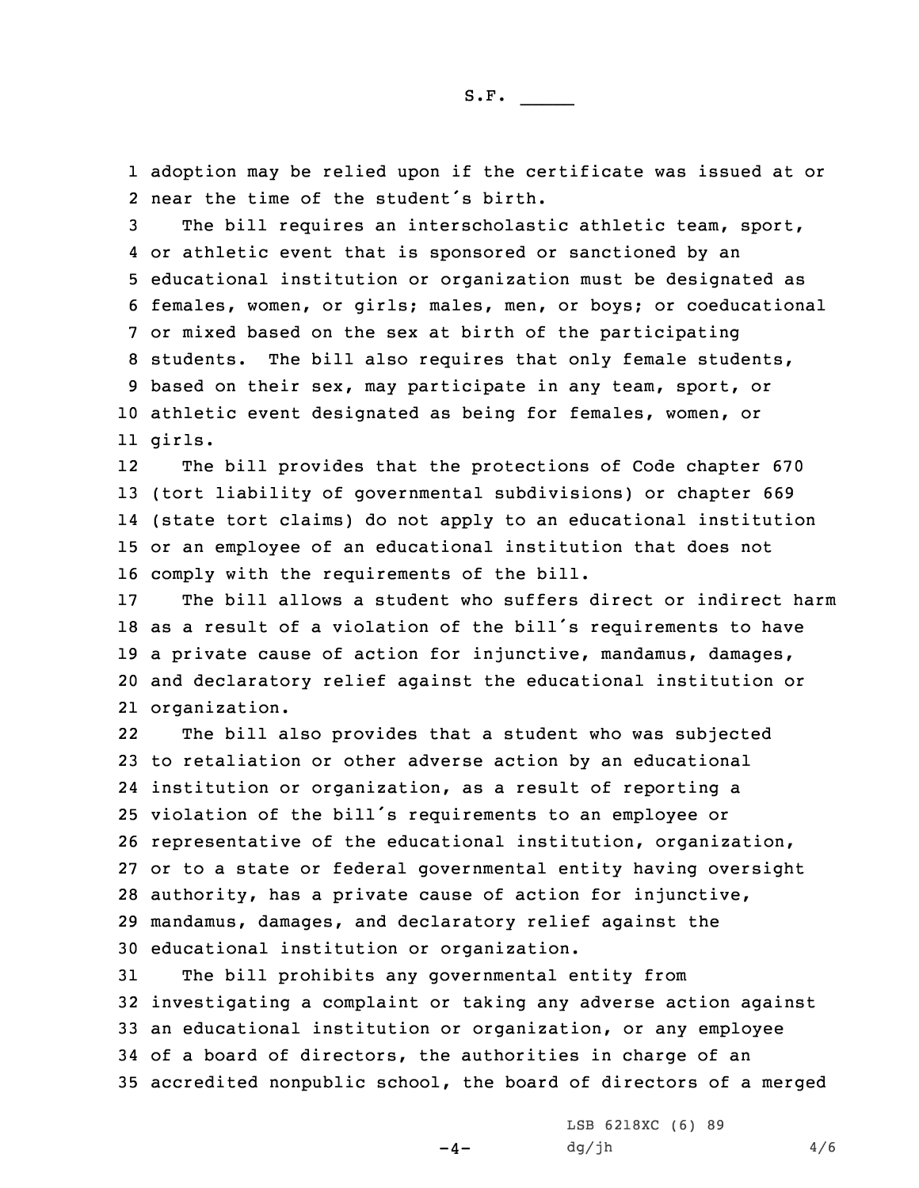1 adoption may be relied upon if the certificate was issued at or 2 near the time of the student's birth.

 The bill requires an interscholastic athletic team, sport, or athletic event that is sponsored or sanctioned by an educational institution or organization must be designated as females, women, or girls; males, men, or boys; or coeducational or mixed based on the sex at birth of the participating students. The bill also requires that only female students, based on their sex, may participate in any team, sport, or athletic event designated as being for females, women, or 11 girls.

12 The bill provides that the protections of Code chapter 670 (tort liability of governmental subdivisions) or chapter 669 (state tort claims) do not apply to an educational institution or an employee of an educational institution that does not comply with the requirements of the bill.

 The bill allows <sup>a</sup> student who suffers direct or indirect harm as <sup>a</sup> result of <sup>a</sup> violation of the bill's requirements to have <sup>a</sup> private cause of action for injunctive, mandamus, damages, and declaratory relief against the educational institution or organization.

22 The bill also provides that <sup>a</sup> student who was subjected to retaliation or other adverse action by an educational institution or organization, as <sup>a</sup> result of reporting <sup>a</sup> violation of the bill's requirements to an employee or representative of the educational institution, organization, or to <sup>a</sup> state or federal governmental entity having oversight authority, has <sup>a</sup> private cause of action for injunctive, mandamus, damages, and declaratory relief against the educational institution or organization.

 The bill prohibits any governmental entity from investigating <sup>a</sup> complaint or taking any adverse action against an educational institution or organization, or any employee of <sup>a</sup> board of directors, the authorities in charge of an accredited nonpublic school, the board of directors of <sup>a</sup> merged

 $-4-$ 

LSB 6218XC (6) 89  $dg/jh$  4/6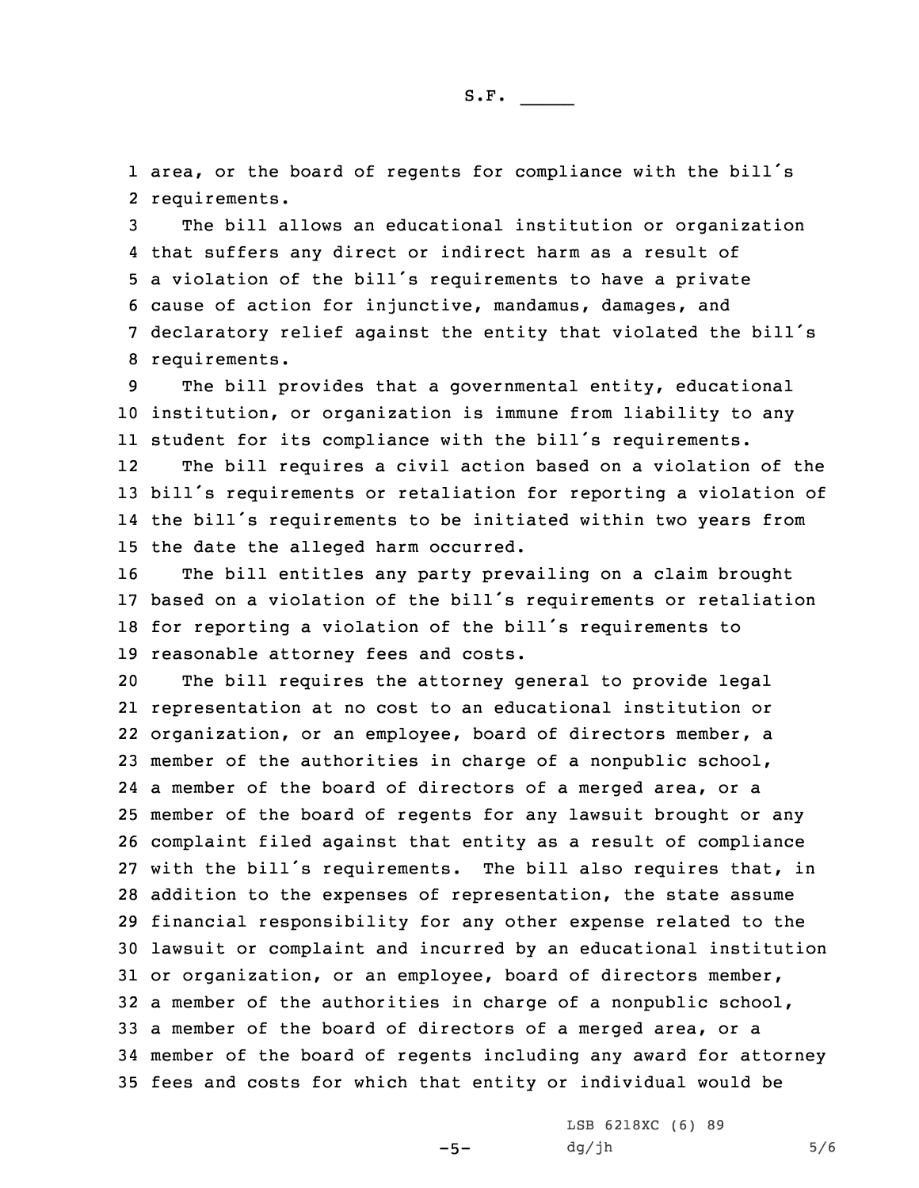1 area, or the board of regents for compliance with the bill's 2 requirements.

 The bill allows an educational institution or organization that suffers any direct or indirect harm as <sup>a</sup> result of <sup>a</sup> violation of the bill's requirements to have <sup>a</sup> private cause of action for injunctive, mandamus, damages, and declaratory relief against the entity that violated the bill's requirements.

9 The bill provides that <sup>a</sup> governmental entity, educational 10 institution, or organization is immune from liability to any 11 student for its compliance with the bill's requirements.

12 The bill requires <sup>a</sup> civil action based on <sup>a</sup> violation of the <sup>13</sup> bill's requirements or retaliation for reporting <sup>a</sup> violation of 14 the bill's requirements to be initiated within two years from 15 the date the alleged harm occurred.

 The bill entitles any party prevailing on <sup>a</sup> claim brought based on <sup>a</sup> violation of the bill's requirements or retaliation for reporting <sup>a</sup> violation of the bill's requirements to reasonable attorney fees and costs.

 The bill requires the attorney general to provide legal representation at no cost to an educational institution or organization, or an employee, board of directors member, <sup>a</sup> member of the authorities in charge of <sup>a</sup> nonpublic school, <sup>a</sup> member of the board of directors of <sup>a</sup> merged area, or <sup>a</sup> member of the board of regents for any lawsuit brought or any complaint filed against that entity as <sup>a</sup> result of compliance with the bill's requirements. The bill also requires that, in addition to the expenses of representation, the state assume financial responsibility for any other expense related to the lawsuit or complaint and incurred by an educational institution or organization, or an employee, board of directors member, <sup>a</sup> member of the authorities in charge of <sup>a</sup> nonpublic school, <sup>a</sup> member of the board of directors of <sup>a</sup> merged area, or <sup>a</sup> member of the board of regents including any award for attorney fees and costs for which that entity or individual would be

 $-5-$ 

LSB 6218XC (6) 89  $dg/jh$  5/6